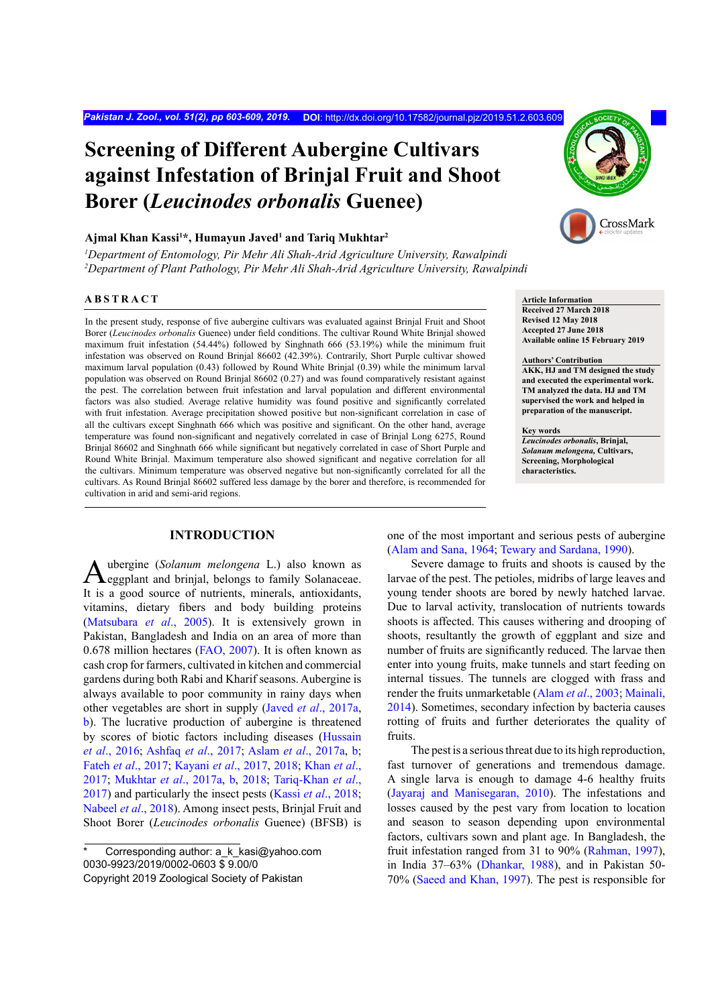# **Screening of Different Aubergine Cultivars against Infestation of Brinjal Fruit and Shoot Borer (***Leucinodes orbonalis* **Guenee)**

## **Ajmal Khan Kassi1 \*, Humayun Javed1 and Tariq Mukhtar2**

*1 Department of Entomology, Pir Mehr Ali Shah-Arid Agriculture University, Rawalpindi 2 Department of Plant Pathology, Pir Mehr Ali Shah-Arid Agriculture University, Rawalpindi*

# **ABSTRACT**

In the present study, response of five aubergine cultivars was evaluated against Brinjal Fruit and Shoot Borer (*Leucinodes orbonalis* Guenee) under field conditions. The cultivar Round White Brinjal showed maximum fruit infestation (54.44%) followed by Singhnath 666 (53.19%) while the minimum fruit infestation was observed on Round Brinjal 86602 (42.39%). Contrarily, Short Purple cultivar showed maximum larval population (0.43) followed by Round White Brinjal (0.39) while the minimum larval population was observed on Round Brinjal 86602 (0.27) and was found comparatively resistant against the pest. The correlation between fruit infestation and larval population and different environmental factors was also studied. Average relative humidity was found positive and significantly correlated with fruit infestation. Average precipitation showed positive but non-significant correlation in case of all the cultivars except Singhnath 666 which was positive and significant. On the other hand, average temperature was found non-significant and negatively correlated in case of Brinjal Long 6275, Round Brinjal 86602 and Singhnath 666 while significant but negatively correlated in case of Short Purple and Round White Brinjal. Maximum temperature also showed significant and negative correlation for all the cultivars. Minimum temperature was observed negative but non-significantly correlated for all the cultivars. As Round Brinjal 86602 suffered less damage by the borer and therefore, is recommended for cultivation in arid and semi-arid regions.

## **INTRODUCTION**

Aubergine (*Solanum melongena* L.) also known as eggplant and brinjal, belongs to family Solanaceae. It is a good source of nutrients, minerals, antioxidants, vitamins, dietary fibers and body building proteins [\(Matsubara](#page-5-0) *et al*., 2005). It is extensively grown in Pakistan, Bangladesh and India on an area of more than 0.678 million hectares ([FAO, 2007\)](#page-5-1). It is often known as cash crop for farmers, cultivated in kitchen and commercial gardens during both Rabi and Kharif seasons. Aubergine is always available to poor community in rainy days when other vegetables are short in supply (Javed *et al*[., 2017a](#page-5-2), [b\)](#page-5-3). The lucrative production of aubergine is threatened by scores of biotic factors including diseases [\(Hussain](#page-5-4) *et al*[., 2016](#page-5-4); [Ashfaq](#page-4-0) *et al*., 2017; Aslam *et al*[., 2017a](#page-5-5), [b](#page-5-6); Fateh *et al*[., 2017](#page-5-7); [Kayani](#page-5-8) *et al*., 2017, [2018](#page-5-9); [Khan](#page-5-10) *et al*., [2017](#page-5-10); [Mukhtar](#page-6-0) *et al*., 2017a, [b](#page-6-1), [2018](#page-6-2); [Tariq-Khan](#page-6-3) *et al*., [2017\)](#page-6-3) and particularly the insect pests (Kassi *et al*[., 2018](#page-5-11); [Nabeel](#page-6-4) *et al*., 2018). Among insect pests, Brinjal Fruit and Shoot Borer (*Leucinodes orbonalis* Guenee) (BFSB) is



**Article Information Received 27 March 2018 Revised 12 May 2018 Accepted 27 June 2018 Available online 15 February 2019**

#### **Authors' Contribution**

**AKK, HJ and TM designed the study and executed the experimental work. TM analyzed the data. HJ and TM supervised the work and helped in preparation of the manuscript.**

## **Key words**

*Leucinodes orbonalis***, Brinjal,**  *Solanum melongena,* **Cultivars, Screening, Morphological characteristics.**

one of the most important and serious pests of aubergine [\(Alam and Sana, 1964](#page-4-1); [Tewary and Sardana, 1990\)](#page-6-5).

Severe damage to fruits and shoots is caused by the larvae of the pest. The petioles, midribs of large leaves and young tender shoots are bored by newly hatched larvae. Due to larval activity, translocation of nutrients towards shoots is affected. This causes withering and drooping of shoots, resultantly the growth of eggplant and size and number of fruits are significantly reduced. The larvae then enter into young fruits, make tunnels and start feeding on internal tissues. The tunnels are clogged with frass and render the fruits unmarketable (Alam *et al*[., 2003](#page-4-2); [Mainali,](#page-5-12) [2014\)](#page-5-12). Sometimes, secondary infection by bacteria causes rotting of fruits and further deteriorates the quality of fruits.

The pest is a serious threat due to its high reproduction, fast turnover of generations and tremendous damage. A single larva is enough to damage 4-6 healthy fruits [\(Jayaraj and Manisegaran, 2010](#page-5-13)). The infestations and losses caused by the pest vary from location to location and season to season depending upon environmental factors, cultivars sown and plant age. In Bangladesh, the fruit infestation ranged from 31 to 90% ([Rahman, 1997](#page-6-6)), in India 37–63% [\(Dhankar, 1988](#page-5-14)), and in Pakistan 50- 70% ([Saeed and Khan, 1997](#page-6-7)). The pest is responsible for

Corresponding author: a\_k\_kasi@yahoo.com 0030-9923/2019/0002-0603 \$ 9.00/0 Copyright 2019 Zoological Society of Pakistan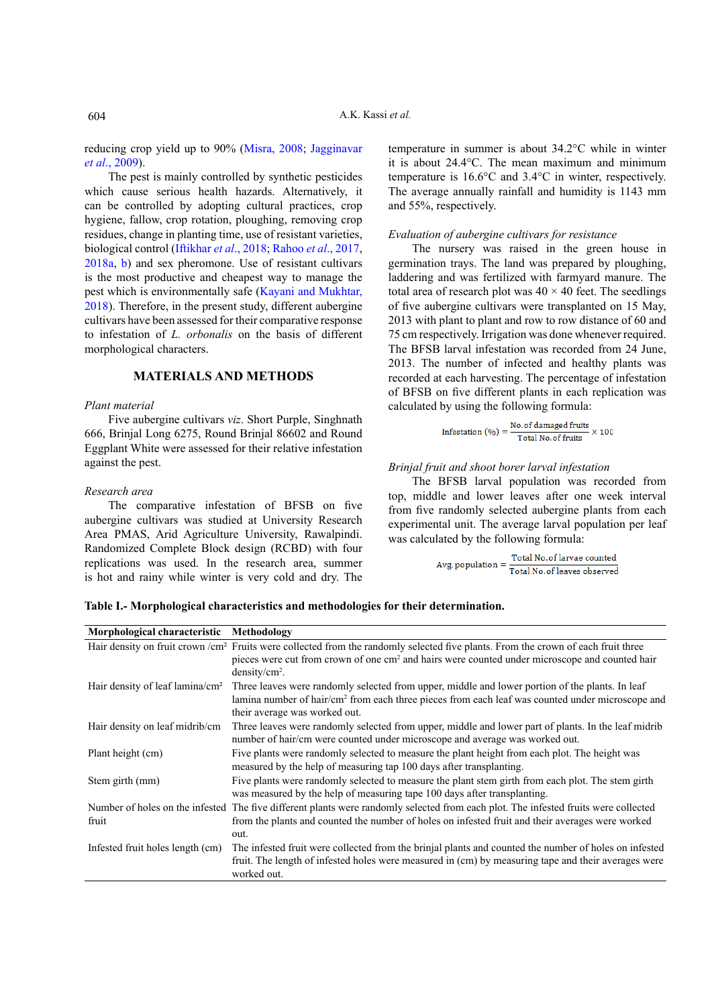reducing crop yield up to 90% [\(Misra, 2008](#page-6-8); [Jagginavar](#page-5-15) *et al*[., 2009\)](#page-5-15).

The pest is mainly controlled by synthetic pesticides which cause serious health hazards. Alternatively, it can be controlled by adopting cultural practices, crop hygiene, fallow, crop rotation, ploughing, removing crop residues, change in planting time, use of resistant varieties, biological control ([Iftikhar](#page-5-16) *et al*., 2018; [Rahoo](#page-6-9) *et al*., 2017, [2018a](#page-6-10), [b](#page-6-11)) and sex pheromone. Use of resistant cultivars is the most productive and cheapest way to manage the pest which is environmentally safe [\(Kayani and Mukhtar,](#page-5-8) [2018\)](#page-5-8). Therefore, in the present study, different aubergine cultivars have been assessed for their comparative response to infestation of *L. orbonalis* on the basis of different morphological characters.

# **MATERIALS AND METHODS**

#### *Plant material*

Five aubergine cultivars *viz*. Short Purple, Singhnath 666, Brinjal Long 6275, Round Brinjal 86602 and Round Eggplant White were assessed for their relative infestation against the pest.

#### *Research area*

The comparative infestation of BFSB on five aubergine cultivars was studied at University Research Area PMAS, Arid Agriculture University, Rawalpindi. Randomized Complete Block design (RCBD) with four replications was used. In the research area, summer is hot and rainy while winter is very cold and dry. The

temperature in summer is about 34.2°C while in winter it is about 24.4°C. The mean maximum and minimum temperature is 16.6°C and 3.4°C in winter, respectively. The average annually rainfall and humidity is 1143 mm and 55%, respectively.

### *Evaluation of aubergine cultivars for resistance*

The nursery was raised in the green house in germination trays. The land was prepared by ploughing, laddering and was fertilized with farmyard manure. The total area of research plot was  $40 \times 40$  feet. The seedlings of five aubergine cultivars were transplanted on 15 May, 2013 with plant to plant and row to row distance of 60 and 75 cm respectively. Irrigation was done whenever required. The BFSB larval infestation was recorded from 24 June, 2013. The number of infected and healthy plants was recorded at each harvesting. The percentage of infestation of BFSB on five different plants in each replication was calculated by using the following formula:

$$
Infestation (%) = \frac{No. of damaged fruits}{Total No. of fruits} \times 100
$$

# *Brinjal fruit and shoot borer larval infestation*

The BFSB larval population was recorded from top, middle and lower leaves after one week interval from five randomly selected aubergine plants from each experimental unit. The average larval population per leaf was calculated by the following formula:

 $Avg.~population = \frac{Total~No. of larvae~counted}{Total~No. of leaves~observed}$ 

<span id="page-1-0"></span>**Table I.- Morphological characteristics and methodologies for their determination.**

| Morphological characteristic                | Methodology                                                                                                                                                                                                                                                                    |
|---------------------------------------------|--------------------------------------------------------------------------------------------------------------------------------------------------------------------------------------------------------------------------------------------------------------------------------|
|                                             | Hair density on fruit crown /cm <sup>2</sup> Fruits were collected from the randomly selected five plants. From the crown of each fruit three<br>pieces were cut from crown of one cm <sup>2</sup> and hairs were counted under microscope and counted hair<br>$density/cm2$ . |
| Hair density of leaf lamina/cm <sup>2</sup> | Three leaves were randomly selected from upper, middle and lower portion of the plants. In leaf<br>lamina number of hair/cm <sup>2</sup> from each three pieces from each leaf was counted under microscope and<br>their average was worked out.                               |
| Hair density on leaf midrib/cm              | Three leaves were randomly selected from upper, middle and lower part of plants. In the leaf midrib<br>number of hair/cm were counted under microscope and average was worked out.                                                                                             |
| Plant height (cm)                           | Five plants were randomly selected to measure the plant height from each plot. The height was<br>measured by the help of measuring tap 100 days after transplanting.                                                                                                           |
| Stem girth (mm)                             | Five plants were randomly selected to measure the plant stem girth from each plot. The stem girth<br>was measured by the help of measuring tape 100 days after transplanting.                                                                                                  |
| Number of holes on the infested<br>fruit    | The five different plants were randomly selected from each plot. The infested fruits were collected<br>from the plants and counted the number of holes on infested fruit and their averages were worked<br>out.                                                                |
| Infested fruit holes length (cm)            | The infested fruit were collected from the brinjal plants and counted the number of holes on infested<br>fruit. The length of infested holes were measured in (cm) by measuring tape and their averages were<br>worked out.                                                    |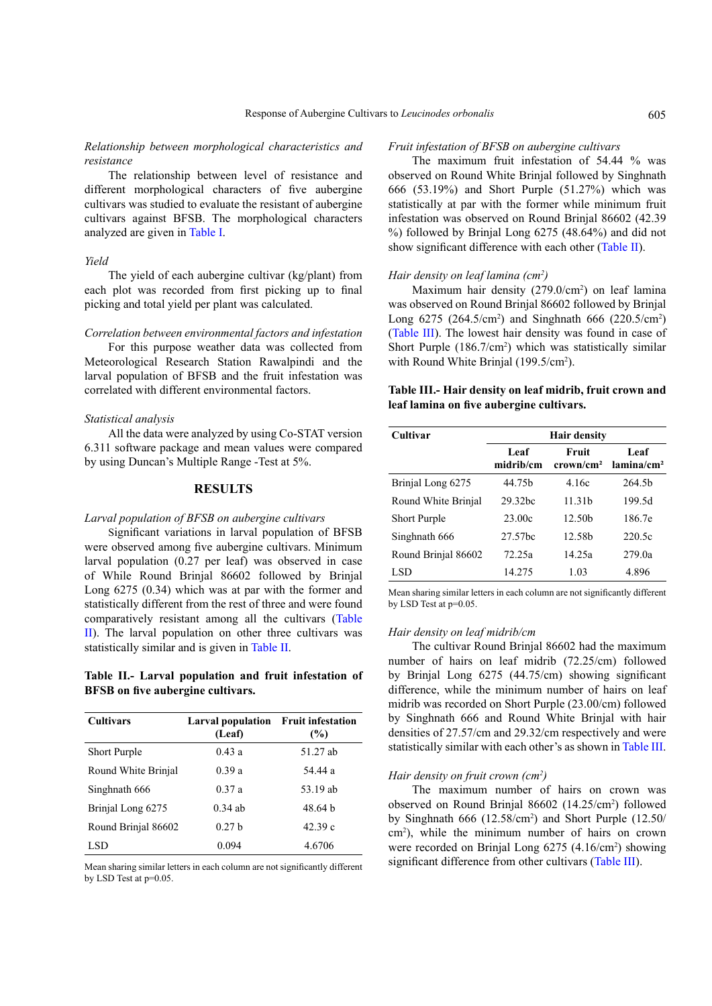## *Relationship between morphological characteristics and resistance*

The relationship between level of resistance and different morphological characters of five aubergine cultivars was studied to evaluate the resistant of aubergine cultivars against BFSB. The morphological characters analyzed are given in [Table I](#page-1-0).

#### *Yield*

The yield of each aubergine cultivar (kg/plant) from each plot was recorded from first picking up to final picking and total yield per plant was calculated.

# *Correlation between environmental factors and infestation*

For this purpose weather data was collected from Meteorological Research Station Rawalpindi and the larval population of BFSB and the fruit infestation was correlated with different environmental factors.

## *Statistical analysis*

All the data were analyzed by using Co-STAT version 6.311 software package and mean values were compared by using Duncan's Multiple Range -Test at 5%.

# **RESULTS**

#### *Larval population of BFSB on aubergine cultivars*

Significant variations in larval population of BFSB were observed among five aubergine cultivars. Minimum larval population (0.27 per leaf) was observed in case of While Round Brinjal 86602 followed by Brinjal Long 6275 (0.34) which was at par with the former and statistically different from the rest of three and were found comparatively resistant among all the cultivars [\(Table](#page-2-0) [II](#page-2-0)). The larval population on other three cultivars was statistically similar and is given in [Table II](#page-2-0).

# <span id="page-2-0"></span>**Table II.- Larval population and fruit infestation of BFSB on five aubergine cultivars.**

| <b>Cultivars</b>    | Larval population Fruit infestation<br>(Leaf) | (%)      |  |
|---------------------|-----------------------------------------------|----------|--|
| <b>Short Purple</b> | 0.43a                                         | 51.27 ab |  |
| Round White Brinjal | 0.39a                                         | 54.44 a  |  |
| Singhnath 666       | 0.37a                                         | 53.19 ab |  |
| Brinjal Long 6275   | $0.34$ ab                                     | 48.64 h  |  |
| Round Brinial 86602 | 0.27 <sub>b</sub>                             | 42.39c   |  |
| LSD.                | 0.094                                         | 4.6706   |  |

Mean sharing similar letters in each column are not significantly different by LSD Test at p=0.05.

#### *Fruit infestation of BFSB on aubergine cultivars*

The maximum fruit infestation of 54.44 % was observed on Round White Brinjal followed by Singhnath 666 (53.19%) and Short Purple (51.27%) which was statistically at par with the former while minimum fruit infestation was observed on Round Brinjal 86602 (42.39 %) followed by Brinjal Long 6275 (48.64%) and did not show significant difference with each other ([Table II](#page-2-0)).

#### *Hair density on leaf lamina (cm2 )*

Maximum hair density  $(279.0/cm<sup>2</sup>)$  on leaf lamina was observed on Round Brinjal 86602 followed by Brinjal Long  $6275$  ( $264.5/cm<sup>2</sup>$ ) and Singhnath  $666$  ( $220.5/cm<sup>2</sup>$ ) [\(Table III](#page-2-1)). The lowest hair density was found in case of Short Purple (186.7/cm<sup>2</sup>) which was statistically similar with Round White Brinjal (199.5/cm<sup>2</sup>).

# <span id="page-2-1"></span>**Table III.- Hair density on leaf midrib, fruit crown and leaf lamina on five aubergine cultivars.**

| Cultivar            | <b>Hair density</b> |                                         |                                |  |
|---------------------|---------------------|-----------------------------------------|--------------------------------|--|
|                     | Leaf<br>midrib/cm   | Fruit<br>$\rm\, cm \times m \times m^2$ | Leaf<br>lamina/cm <sup>2</sup> |  |
| Brinjal Long 6275   | 44 75 <sub>h</sub>  | 4 16c                                   | 264.5 <sub>b</sub>             |  |
| Round White Brinial | 29.32 <sub>bc</sub> | 11.31 <sub>b</sub>                      | 199.5d                         |  |
| <b>Short Purple</b> | 23.00c              | 12.50 <sub>b</sub>                      | 186.7e                         |  |
| Singhnath 666       | 27.57 <sub>bc</sub> | 12.58b                                  | 220.5c                         |  |
| Round Brinjal 86602 | 72.25a              | 14.25a                                  | 279.0a                         |  |
| LSD                 | 14 275              | 1.03                                    | 4.896                          |  |

Mean sharing similar letters in each column are not significantly different by LSD Test at p=0.05.

#### *Hair density on leaf midrib/cm*

The cultivar Round Brinjal 86602 had the maximum number of hairs on leaf midrib (72.25/cm) followed by Brinjal Long 6275 (44.75/cm) showing significant difference, while the minimum number of hairs on leaf midrib was recorded on Short Purple (23.00/cm) followed by Singhnath 666 and Round White Brinjal with hair densities of 27.57/cm and 29.32/cm respectively and were statistically similar with each other's as shown in [Table III.](#page-2-1)

#### *Hair density on fruit crown (cm2 )*

The maximum number of hairs on crown was observed on Round Brinjal 86602 (14.25/cm<sup>2</sup>) followed by Singhnath 666 (12.58/cm2 ) and Short Purple (12.50/ cm2 ), while the minimum number of hairs on crown were recorded on Brinjal Long 6275 (4.16/cm<sup>2</sup>) showing significant difference from other cultivars [\(Table](#page-2-1) III).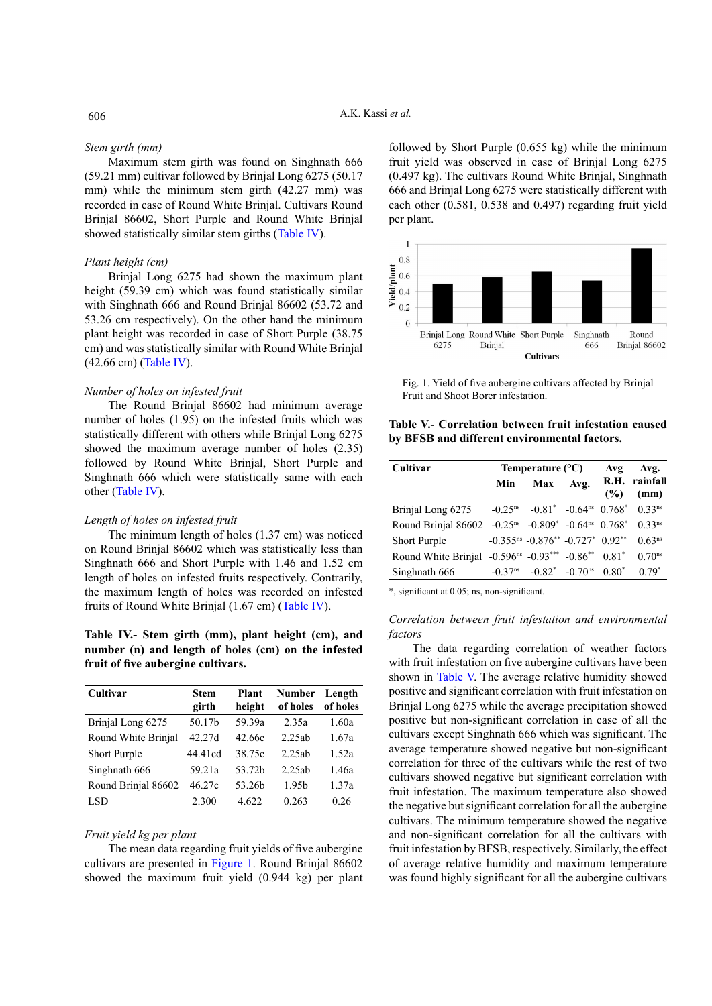#### *Stem girth (mm)*

Maximum stem girth was found on Singhnath 666 (59.21 mm) cultivar followed by Brinjal Long 6275 (50.17 mm) while the minimum stem girth (42.27 mm) was recorded in case of Round White Brinjal. Cultivars Round Brinjal 86602, Short Purple and Round White Brinjal showed statistically similar stem girths [\(Table IV](#page-3-0)).

#### *Plant height (cm)*

Brinjal Long 6275 had shown the maximum plant height (59.39 cm) which was found statistically similar with Singhnath 666 and Round Brinjal 86602 (53.72 and 53.26 cm respectively). On the other hand the minimum plant height was recorded in case of Short Purple (38.75 cm) and was statistically similar with Round White Brinjal (42.66 cm) [\(Table IV\)](#page-3-0).

## *Number of holes on infested fruit*

The Round Brinjal 86602 had minimum average number of holes (1.95) on the infested fruits which was statistically different with others while Brinjal Long 6275 showed the maximum average number of holes (2.35) followed by Round White Brinjal, Short Purple and Singhnath 666 which were statistically same with each other [\(Table IV](#page-3-0)).

## *Length of holes on infested fruit*

The minimum length of holes (1.37 cm) was noticed on Round Brinjal 86602 which was statistically less than Singhnath 666 and Short Purple with 1.46 and 1.52 cm length of holes on infested fruits respectively. Contrarily, the maximum length of holes was recorded on infested fruits of Round White Brinjal (1.67 cm) [\(Table IV](#page-3-0)).

<span id="page-3-0"></span>**Table IV.- Stem girth (mm), plant height (cm), and number (n) and length of holes (cm) on the infested fruit of five aubergine cultivars.**

| Cultivar            | <b>Stem</b> | Plant              | <b>Number</b>     | Length   |
|---------------------|-------------|--------------------|-------------------|----------|
|                     | girth       | height             | of holes          | of holes |
| Brinjal Long 6275   | 50.17b      | 59.39a             | 2.35a             | 1.60a    |
| Round White Brinjal | 42.27d      | 42.66c             | 2.25ab            | 1.67a    |
| Short Purple        | 44.41cd     | 38.75c             | 2.25ab            | 1.52a    |
| Singhnath 666       | 59.21a      | 53.72b             | 2.25ab            | 1.46a    |
| Round Brinial 86602 | 46.27c      | 53.26 <sub>h</sub> | 1.95 <sub>b</sub> | 1.37a    |
| LSD                 | 2.300       | 4.622              | 0.263             | 0.26     |

#### *Fruit yield kg per plant*

The mean data regarding fruit yields of five aubergine cultivars are presented in [Figure 1](#page-3-1). Round Brinjal 86602 showed the maximum fruit yield (0.944 kg) per plant

followed by Short Purple (0.655 kg) while the minimum fruit yield was observed in case of Brinjal Long 6275 (0.497 kg). The cultivars Round White Brinjal, Singhnath 666 and Brinjal Long 6275 were statistically different with each other (0.581, 0.538 and 0.497) regarding fruit yield per plant.



<span id="page-3-1"></span>Fig. 1. Yield of five aubergine cultivars affected by Brinjal Fruit and Shoot Borer infestation.

<span id="page-3-2"></span>**Table V.- Correlation between fruit infestation caused by BFSB and different environmental factors.**

| Cultivar                                                                                            | Temperature $(^{\circ}C)$ |                                                                                                            |                               | Avg     | Avg.                  |
|-----------------------------------------------------------------------------------------------------|---------------------------|------------------------------------------------------------------------------------------------------------|-------------------------------|---------|-----------------------|
|                                                                                                     | Min                       | Max                                                                                                        | Avg.                          | (%)     | R.H. rainfall<br>(mm) |
| Brinjal Long 6275                                                                                   |                           | $-0.25$ <sup>ns</sup> $-0.81$ <sup>*</sup> $-0.64$ <sup>ns</sup> $0.768$ <sup>*</sup> $0.33$ <sup>ns</sup> |                               |         |                       |
| Round Brinial 86602 -0.25 <sup>ns</sup> -0.809 <sup>*</sup> -0.64 <sup>ns</sup> 0.768 <sup>*</sup>  |                           |                                                                                                            |                               |         | $0.33^{ns}$           |
| <b>Short Purple</b>                                                                                 |                           | $-0.355^{ns}$ $-0.876^{**}$ $-0.727^{*}$ $0.92^{**}$                                                       |                               |         | $0.63^{ns}$           |
| Round White Brinjal -0.596 <sup>ns</sup> -0.93 <sup>***</sup> -0.86 <sup>**</sup> 0.81 <sup>*</sup> |                           |                                                                                                            |                               |         | $0.70$ <sup>ns</sup>  |
| Singhnath 666                                                                                       | $-0.37$ <sup>ns</sup>     |                                                                                                            | $-0.82^*$ $-0.70^{\text{ns}}$ | $0.80*$ | $0.79*$               |

\*, significant at 0.05; ns, non-significant.

## *Correlation between fruit infestation and environmental factors*

The data regarding correlation of weather factors with fruit infestation on five aubergine cultivars have been shown in [Table V](#page-3-2). The average relative humidity showed positive and significant correlation with fruit infestation on Brinjal Long 6275 while the average precipitation showed positive but non-significant correlation in case of all the cultivars except Singhnath 666 which was significant. The average temperature showed negative but non-significant correlation for three of the cultivars while the rest of two cultivars showed negative but significant correlation with fruit infestation. The maximum temperature also showed the negative but significant correlation for all the aubergine cultivars. The minimum temperature showed the negative and non-significant correlation for all the cultivars with fruit infestation by BFSB, respectively. Similarly, the effect of average relative humidity and maximum temperature was found highly significant for all the aubergine cultivars

# 606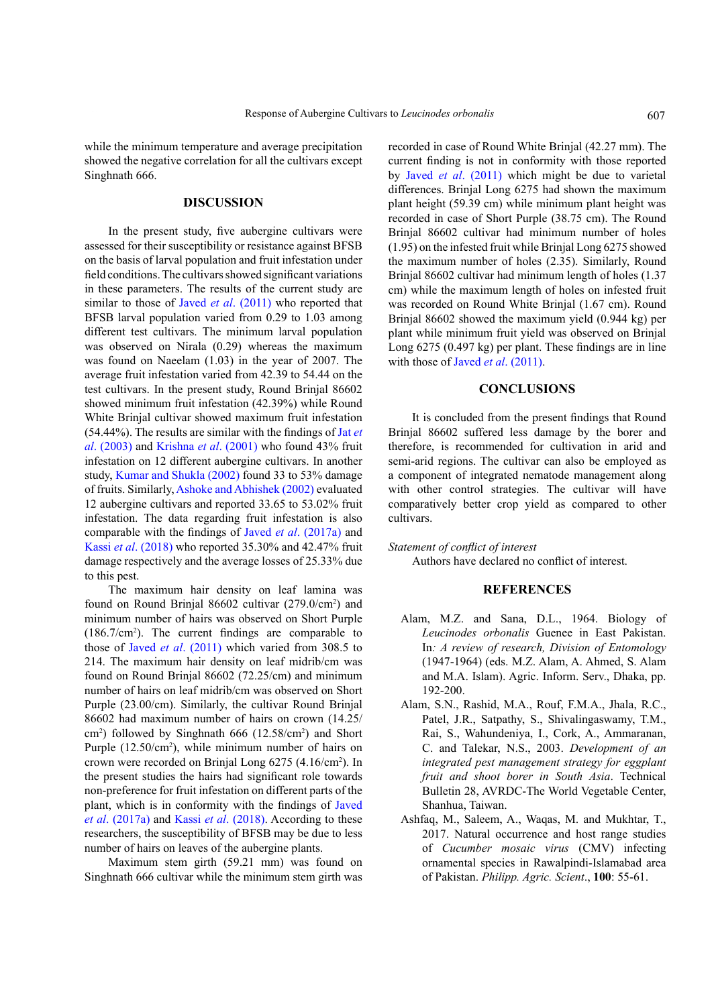while the minimum temperature and average precipitation showed the negative correlation for all the cultivars except Singhnath 666.

# **DISCUSSION**

In the present study, five aubergine cultivars were assessed for their susceptibility or resistance against BFSB on the basis of larval population and fruit infestation under field conditions. The cultivars showed significant variations in these parameters. The results of the current study are similar to those of Javed *et al*[. \(2011\)](#page-5-17) who reported that BFSB larval population varied from 0.29 to 1.03 among different test cultivars. The minimum larval population was observed on Nirala (0.29) whereas the maximum was found on Naeelam (1.03) in the year of 2007. The average fruit infestation varied from 42.39 to 54.44 on the test cultivars. In the present study, Round Brinjal 86602 showed minimum fruit infestation (42.39%) while Round White Brinjal cultivar showed maximum fruit infestation (54.44%). The results are similar with the findings of [Jat](#page-5-18) *et al*[. \(2003\)](#page-5-18) and [Krishna](#page-5-19) *et al*. (2001) who found 43% fruit infestation on 12 different aubergine cultivars. In another study, [Kumar and Shukla \(2002\)](#page-5-20) found 33 to 53% damage of fruits. Similarly, [Ashoke and Abhishek \(2002\)](#page-5-21) evaluated 12 aubergine cultivars and reported 33.65 to 53.02% fruit infestation. The data regarding fruit infestation is also comparable with the findings of Javed *et al*[. \(2017a\)](#page-5-2) and Kassi *et al*[. \(2018\)](#page-5-11) who reported 35.30% and 42.47% fruit damage respectively and the average losses of 25.33% due to this pest.

The maximum hair density on leaf lamina was found on Round Brinjal 86602 cultivar (279.0/cm<sup>2</sup>) and minimum number of hairs was observed on Short Purple (186.7/cm2 ). The current findings are comparable to those of Javed *et al*[. \(2011\)](#page-5-17) which varied from 308.5 to 214. The maximum hair density on leaf midrib/cm was found on Round Brinjal 86602 (72.25/cm) and minimum number of hairs on leaf midrib/cm was observed on Short Purple (23.00/cm). Similarly, the cultivar Round Brinjal 86602 had maximum number of hairs on crown (14.25/ cm2 ) followed by Singhnath 666 (12.58/cm2 ) and Short Purple  $(12.50/cm<sup>2</sup>)$ , while minimum number of hairs on crown were recorded on Brinjal Long 6275 (4.16/cm<sup>2</sup>). In the present studies the hairs had significant role towards non-preference for fruit infestation on different parts of the plant, which is in conformity with the findings of [Javed](#page-5-2) *et al*[. \(2017a\)](#page-5-2) and Kassi *et al*[. \(2018\)](#page-5-11). According to these researchers, the susceptibility of BFSB may be due to less number of hairs on leaves of the aubergine plants.

Maximum stem girth (59.21 mm) was found on Singhnath 666 cultivar while the minimum stem girth was

recorded in case of Round White Brinjal (42.27 mm). The current finding is not in conformity with those reported by Javed *et al*[. \(2011\)](#page-5-17) which might be due to varietal differences. Brinjal Long 6275 had shown the maximum plant height (59.39 cm) while minimum plant height was recorded in case of Short Purple (38.75 cm). The Round Brinjal 86602 cultivar had minimum number of holes (1.95) on the infested fruit while Brinjal Long 6275 showed the maximum number of holes (2.35). Similarly, Round Brinjal 86602 cultivar had minimum length of holes (1.37 cm) while the maximum length of holes on infested fruit was recorded on Round White Brinjal (1.67 cm). Round Brinjal 86602 showed the maximum yield (0.944 kg) per plant while minimum fruit yield was observed on Brinjal Long 6275 (0.497 kg) per plant. These findings are in line with those of Javed *et al.* (2011).

# **CONCLUSIONS**

It is concluded from the present findings that Round Brinjal 86602 suffered less damage by the borer and therefore, is recommended for cultivation in arid and semi-arid regions. The cultivar can also be employed as a component of integrated nematode management along with other control strategies. The cultivar will have comparatively better crop yield as compared to other cultivars.

# *Statement of conflict of interest*

Authors have declared no conflict of interest.

## **REFERENCES**

- <span id="page-4-1"></span>Alam, M.Z. and Sana, D.L., 1964. Biology of *Leucinodes orbonalis* Guenee in East Pakistan. In*: A review of research, Division of Entomology* (1947-1964) (eds. M.Z. Alam, A. Ahmed, S. Alam and M.A. Islam). Agric. Inform. Serv., Dhaka, pp. 192-200.
- <span id="page-4-2"></span>Alam, S.N., Rashid, M.A., Rouf, F.M.A., Jhala, R.C., Patel, J.R., Satpathy, S., Shivalingaswamy, T.M., Rai, S., Wahundeniya, I., Cork, A., Ammaranan, C. and Talekar, N.S., 2003. *Development of an integrated pest management strategy for eggplant fruit and shoot borer in South Asia*. Technical Bulletin 28, AVRDC-The World Vegetable Center, Shanhua, Taiwan.
- <span id="page-4-0"></span>Ashfaq, M., Saleem, A., Waqas, M. and Mukhtar, T., 2017. Natural occurrence and host range studies of *Cucumber mosaic virus* (CMV) infecting ornamental species in Rawalpindi-Islamabad area of Pakistan. *Philipp. Agric. Scient*., **100**: 55-61.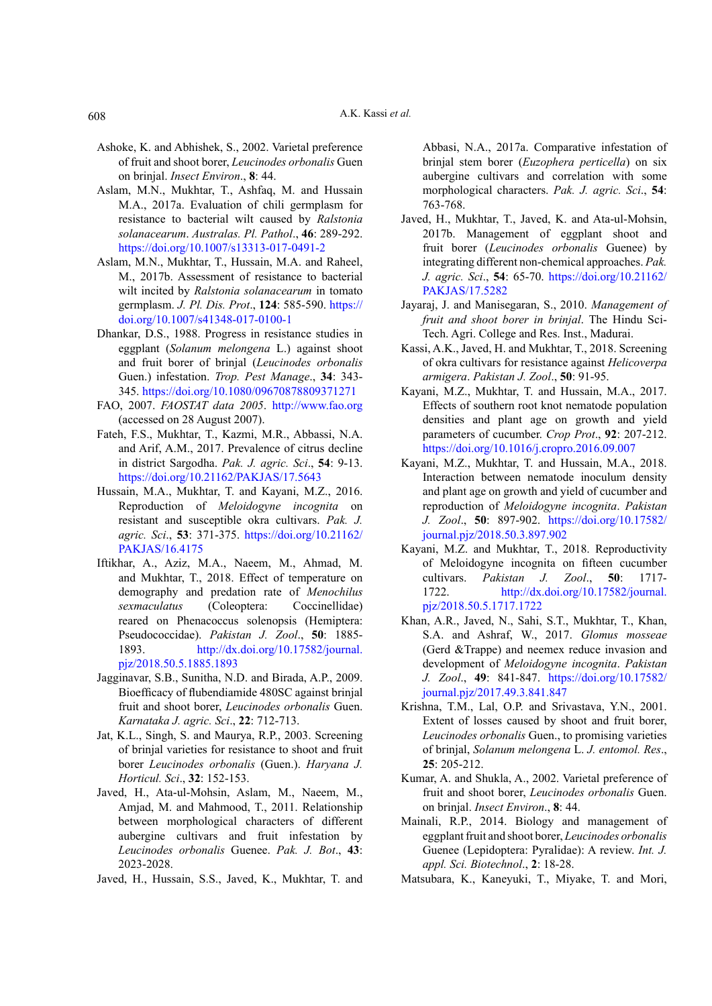- <span id="page-5-21"></span>Ashoke, K. and Abhishek, S., 2002. Varietal preference of fruit and shoot borer, *Leucinodes orbonalis* Guen on brinjal. *Insect Environ*., **8**: 44.
- <span id="page-5-5"></span>Aslam, M.N., Mukhtar, T., Ashfaq, M. and Hussain M.A., 2017a. Evaluation of chili germplasm for resistance to bacterial wilt caused by *Ralstonia solanacearum*. *Australas. Pl. Pathol*., **46**: 289-292. <https://doi.org/10.1007/s13313-017-0491-2>
- <span id="page-5-6"></span>Aslam, M.N., Mukhtar, T., Hussain, M.A. and Raheel, M., 2017b. Assessment of resistance to bacterial wilt incited by *Ralstonia solanacearum* in tomato germplasm. *J. Pl. Dis. Prot*., **124**: 585-590. [https://](https://doi.org/10.1007/s41348-017-0100-1) [doi.org/10.1007/s41348-017-0100-1](https://doi.org/10.1007/s41348-017-0100-1)
- <span id="page-5-14"></span>Dhankar, D.S., 1988. Progress in resistance studies in eggplant (*Solanum melongena* L.) against shoot and fruit borer of brinjal (*Leucinodes orbonalis*  Guen.) infestation. *Trop. Pest Manage*., **34**: 343- 345.<https://doi.org/10.1080/09670878809371271>
- <span id="page-5-1"></span>FAO, 2007. *FAOSTAT data 2005*. <http://www.fao.org> (accessed on 28 August 2007).
- <span id="page-5-7"></span>Fateh, F.S., Mukhtar, T., Kazmi, M.R., Abbassi, N.A. and Arif, A.M., 2017. Prevalence of citrus decline in district Sargodha. *Pak. J. agric. Sci*., **54**: 9-13. <https://doi.org/10.21162/PAKJAS/17.5643>
- <span id="page-5-4"></span>Hussain, M.A., Mukhtar, T. and Kayani, M.Z., 2016. Reproduction of *Meloidogyne incognita* on resistant and susceptible okra cultivars. *Pak. J. agric. Sci*., **53**: 371-375. [https://doi.org/10.21162/](https://doi.org/10.21162/PAKJAS/16.4175) [PAKJAS/16.4175](https://doi.org/10.21162/PAKJAS/16.4175)
- <span id="page-5-16"></span>Iftikhar, A., Aziz, M.A., Naeem, M., Ahmad, M. and Mukhtar, T., 2018. Effect of temperature on demography and predation rate of *Menochilus sexmaculatus* (Coleoptera: Coccinellidae) reared on Phenacoccus solenopsis (Hemiptera: Pseudococcidae). *Pakistan J. Zool*., **50**: 1885- 1893. [http://dx.doi.org/10.17582/journal.](http://dx.doi.org/10.17582/journal.pjz/2018.50.5.1885.1893) [pjz/2018.50.5.1885.1893](http://dx.doi.org/10.17582/journal.pjz/2018.50.5.1885.1893)
- <span id="page-5-15"></span>Jagginavar, S.B., Sunitha, N.D. and Birada, A.P., 2009. Bioefficacy of flubendiamide 480SC against brinjal fruit and shoot borer, *Leucinodes orbonalis* Guen. *Karnataka J. agric. Sci*., **22**: 712-713.
- <span id="page-5-18"></span>Jat, K.L., Singh, S. and Maurya, R.P., 2003. Screening of brinjal varieties for resistance to shoot and fruit borer *Leucinodes orbonalis* (Guen.). *Haryana J. Horticul. Sci*., **32**: 152-153.
- <span id="page-5-17"></span>Javed, H., Ata-ul-Mohsin, Aslam, M., Naeem, M., Amjad, M. and Mahmood, T., 2011. Relationship between morphological characters of different aubergine cultivars and fruit infestation by *Leucinodes orbonalis* Guenee. *Pak. J. Bot*., **43**: 2023-2028.
- <span id="page-5-2"></span>Javed, H., Hussain, S.S., Javed, K., Mukhtar, T. and

Abbasi, N.A., 2017a. Comparative infestation of brinjal stem borer (*Euzophera perticella*) on six aubergine cultivars and correlation with some morphological characters. *Pak. J. agric. Sci*., **54**: 763-768.

- <span id="page-5-3"></span>Javed, H., Mukhtar, T., Javed, K. and Ata-ul-Mohsin, 2017b. Management of eggplant shoot and fruit borer (*Leucinodes orbonalis* Guenee) by integrating different non-chemical approaches. *Pak. J. agric. Sci*., **54**: 65-70. [https://doi.org/10.21162/](https://doi.org/10.21162/PAKJAS/17.5282) [PAKJAS/17.5282](https://doi.org/10.21162/PAKJAS/17.5282)
- <span id="page-5-13"></span>Jayaraj, J. and Manisegaran, S., 2010. *Management of fruit and shoot borer in brinjal*. The Hindu Sci-Tech. Agri. College and Res. Inst., Madurai.
- <span id="page-5-11"></span>Kassi, A.K., Javed, H. and Mukhtar, T., 2018. Screening of okra cultivars for resistance against *Helicoverpa armigera*. *Pakistan J. Zool*., **50**: 91-95.
- <span id="page-5-8"></span>Kayani, M.Z., Mukhtar, T. and Hussain, M.A., 2017. Effects of southern root knot nematode population densities and plant age on growth and yield parameters of cucumber. *Crop Prot*., **92**: 207-212. <https://doi.org/10.1016/j.cropro.2016.09.007>
- <span id="page-5-9"></span>Kayani, M.Z., Mukhtar, T. and Hussain, M.A., 2018. Interaction between nematode inoculum density and plant age on growth and yield of cucumber and reproduction of *Meloidogyne incognita*. *Pakistan J. Zool*., **50**: 897-902. [https://doi.org/10.17582/](https://doi.org/10.17582/journal.pjz/2018.50.3.897.902) [journal.pjz/2018.50.3.897.902](https://doi.org/10.17582/journal.pjz/2018.50.3.897.902)
- Kayani, M.Z. and Mukhtar, T., 2018. Reproductivity of Meloidogyne incognita on fifteen cucumber cultivars. *Pakistan J. Zool*., **50**: 1717- 1722. [http://dx.doi.org/10.17582/journal.](http://dx.doi.org/10.17582/journal.pjz/2018.50.5.1717.1722) [pjz/2018.50.5.1717.1722](http://dx.doi.org/10.17582/journal.pjz/2018.50.5.1717.1722)
- <span id="page-5-10"></span>Khan, A.R., Javed, N., Sahi, S.T., Mukhtar, T., Khan, S.A. and Ashraf, W., 2017. *Glomus mosseae*  (Gerd &Trappe) and neemex reduce invasion and development of *Meloidogyne incognita*. *Pakistan J. Zool*., **49**: 841-847. [https://doi.org/10.17582/](https://doi.org/10.17582/journal.pjz/2017.49.3.841.847) [journal.pjz/2017.49.3.841.847](https://doi.org/10.17582/journal.pjz/2017.49.3.841.847)
- <span id="page-5-19"></span>Krishna, T.M., Lal, O.P. and Srivastava, Y.N., 2001. Extent of losses caused by shoot and fruit borer, *Leucinodes orbonalis* Guen., to promising varieties of brinjal, *Solanum melongena* L. *J. entomol. Res*., **25**: 205-212.
- <span id="page-5-20"></span>Kumar, A. and Shukla, A., 2002. Varietal preference of fruit and shoot borer, *Leucinodes orbonalis* Guen. on brinjal. *Insect Environ*., **8**: 44.
- <span id="page-5-12"></span>Mainali, R.P., 2014. Biology and management of eggplant fruit and shoot borer, *Leucinodes orbonalis*  Guenee (Lepidoptera: Pyralidae): A review. *Int. J. appl. Sci. Biotechnol*., **2**: 18-28.
- <span id="page-5-0"></span>Matsubara, K., Kaneyuki, T., Miyake, T. and Mori,